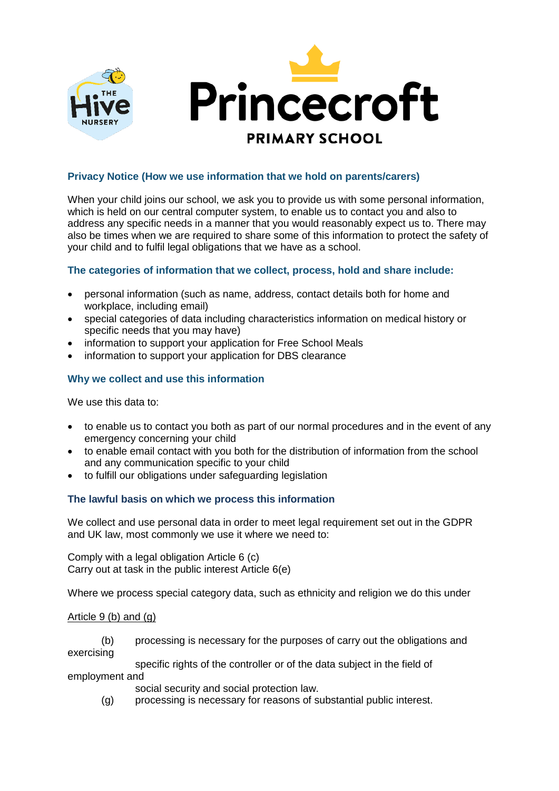

# **Privacy Notice (How we use information that we hold on parents/carers)**

When your child joins our school, we ask you to provide us with some personal information, which is held on our central computer system, to enable us to contact you and also to address any specific needs in a manner that you would reasonably expect us to. There may also be times when we are required to share some of this information to protect the safety of your child and to fulfil legal obligations that we have as a school.

# **The categories of information that we collect, process, hold and share include:**

- personal information (such as name, address, contact details both for home and workplace, including email)
- special categories of data including characteristics information on medical history or specific needs that you may have)
- information to support your application for Free School Meals
- information to support your application for DBS clearance

### **Why we collect and use this information**

We use this data to:

- to enable us to contact you both as part of our normal procedures and in the event of any emergency concerning your child
- to enable email contact with you both for the distribution of information from the school and any communication specific to your child
- to fulfill our obligations under safeguarding legislation

#### **The lawful basis on which we process this information**

We collect and use personal data in order to meet legal requirement set out in the GDPR and UK law, most commonly we use it where we need to:

Comply with a legal obligation Article 6 (c) Carry out at task in the public interest Article 6(e)

Where we process special category data, such as ethnicity and religion we do this under

#### Article 9 (b) and (g)

(b) processing is necessary for the purposes of carry out the obligations and exercising

specific rights of the controller or of the data subject in the field of employment and

social security and social protection law.

(g) processing is necessary for reasons of substantial public interest.